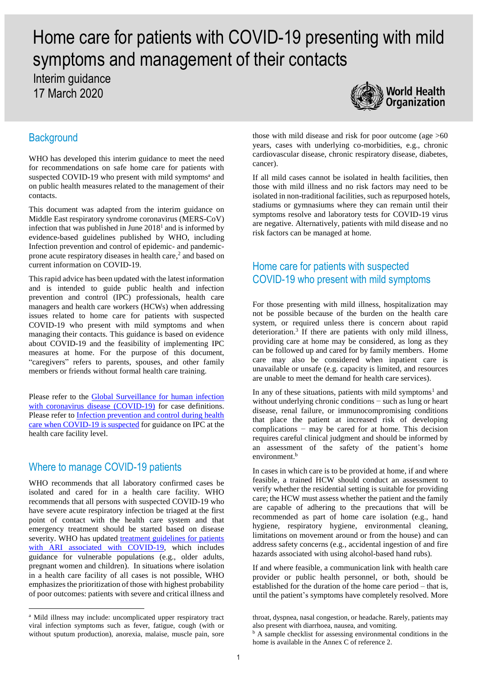# Home care for patients with COVID-19 presenting with mild symptoms and management of their contacts

Interim guidance 17 March 2020



# **Background**

WHO has developed this interim guidance to meet the need for recommendations on safe home care for patients with suspected COVID-19 who present with mild symptoms<sup>a</sup> and on public health measures related to the management of their contacts.

This document was adapted from the interim guidance on Middle East respiratory syndrome coronavirus (MERS-CoV) infection that was published in June  $2018<sup>1</sup>$  and is informed by evidence-based guidelines published by WHO, including Infection prevention and control of epidemic- and pandemicprone acute respiratory diseases in health care, 2 and based on current information on COVID-19.

This rapid advice has been updated with the latest information and is intended to guide public health and infection prevention and control (IPC) professionals, health care managers and health care workers (HCWs) when addressing issues related to home care for patients with suspected COVID-19 who present with mild symptoms and when managing their contacts. This guidance is based on evidence about COVID-19 and the feasibility of implementing IPC measures at home. For the purpose of this document, "caregivers" refers to parents, spouses, and other family members or friends without formal health care training.

Please refer to the Global Surveillance for human infection [with coronavirus disease \(COVID-19\)](https://www.who.int/publications-detail/global-surveillance-for-human-infection-with-novel-coronavirus-(2019-ncov)) for case definitions. Please refer to Infection prevention and control during health [care when COVID-19](https://www.who.int/publications-detail/infection-prevention-and-control-during-health-care-when-novel-coronavirus-(ncov)-infection-is-suspected-20200125) is suspected for guidance on IPC at the health care facility level.

# Where to manage COVID-19 patients

WHO recommends that all laboratory confirmed cases be isolated and cared for in a health care facility. WHO recommends that all persons with suspected COVID-19 who have severe acute respiratory infection be triaged at the first point of contact with the health care system and that emergency treatment should be started based on disease severity. WHO has updated [treatment guidelines for patients](https://www.who.int/publications-detail/clinical-management-of-severe-acute-respiratory-infection-when-novel-coronavirus-(ncov)-infection-is-suspected)  [with ARI associated with COVID-19,](https://www.who.int/publications-detail/clinical-management-of-severe-acute-respiratory-infection-when-novel-coronavirus-(ncov)-infection-is-suspected) which includes guidance for vulnerable populations (e.g., older adults, pregnant women and children). In situations where isolation in a health care facility of all cases is not possible, WHO emphasizes the prioritization of those with highest probability of poor outcomes: patients with severe and critical illness and

1

those with mild disease and risk for poor outcome (age >60 years, cases with underlying co-morbidities, e.g., chronic cardiovascular disease, chronic respiratory disease, diabetes, cancer).

If all mild cases cannot be isolated in health facilities, then those with mild illness and no risk factors may need to be isolated in non-traditional facilities, such as repurposed hotels, stadiums or gymnasiums where they can remain until their symptoms resolve and laboratory tests for COVID-19 virus are negative. Alternatively, patients with mild disease and no risk factors can be managed at home.

## Home care for patients with suspected COVID-19 who present with mild symptoms

For those presenting with mild illness, hospitalization may not be possible because of the burden on the health care system, or required unless there is concern about rapid deterioration.<sup>3</sup> If there are patients with only mild illness, providing care at home may be considered, as long as they can be followed up and cared for by family members. Home care may also be considered when inpatient care is unavailable or unsafe (e.g. capacity is limited, and resources are unable to meet the demand for health care services).

In any of these situations, patients with mild symptoms<sup>1</sup> and without underlying chronic conditions − such as lung or heart disease, renal failure, or immunocompromising conditions that place the patient at increased risk of developing complications − may be cared for at home. This decision requires careful clinical judgment and should be informed by an assessment of the safety of the patient's home environment.<sup>b</sup>

In cases in which care is to be provided at home, if and where feasible, a trained HCW should conduct an assessment to verify whether the residential setting is suitable for providing care; the HCW must assess whether the patient and the family are capable of adhering to the precautions that will be recommended as part of home care isolation (e.g., hand hygiene, respiratory hygiene, environmental cleaning, limitations on movement around or from the house) and can address safety concerns (e.g., accidental ingestion of and fire hazards associated with using alcohol-based hand rubs).

If and where feasible, a communication link with health care provider or public health personnel, or both, should be established for the duration of the home care period – that is, until the patient's symptoms have completely resolved. More

<sup>a</sup> Mild illness may include: uncomplicated upper respiratory tract viral infection symptoms such as fever, fatigue, cough (with or without sputum production), anorexia, malaise, muscle pain, sore

throat, dyspnea, nasal congestion, or headache. Rarely, patients may also present with diarrhoea, nausea, and vomiting.

<sup>&</sup>lt;sup>b</sup> A sample checklist for assessing environmental conditions in the home is available in the Annex C of reference 2.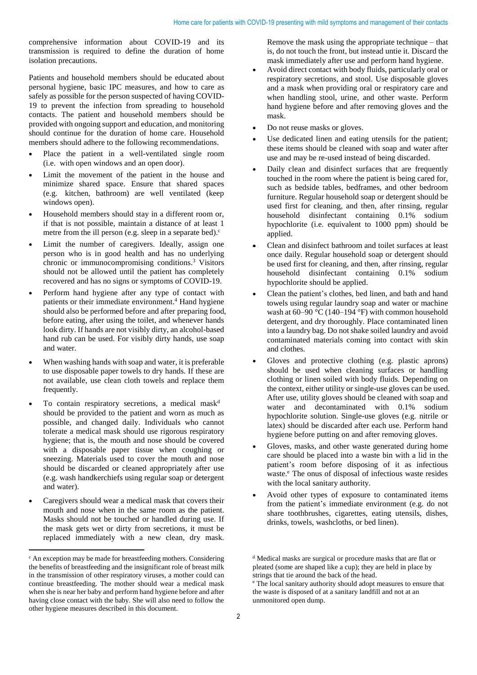comprehensive information about COVID-19 and its transmission is required to define the duration of home isolation precautions.

Patients and household members should be educated about personal hygiene, basic IPC measures, and how to care as safely as possible for the person suspected of having COVID-19 to prevent the infection from spreading to household contacts. The patient and household members should be provided with ongoing support and education, and monitoring should continue for the duration of home care. Household members should adhere to the following recommendations.

- Place the patient in a well-ventilated single room (i.e. with open windows and an open door).
- Limit the movement of the patient in the house and minimize shared space. Ensure that shared spaces (e.g. kitchen, bathroom) are well ventilated (keep windows open).
- Household members should stay in a different room or, if that is not possible, maintain a distance of at least 1 metre from the ill person (e.g. sleep in a separate bed). $\circ$
- Limit the number of caregivers. Ideally, assign one person who is in good health and has no underlying chronic or immunocompromising conditions. <sup>3</sup> Visitors should not be allowed until the patient has completely recovered and has no signs or symptoms of COVID-19.
- Perform hand hygiene after any type of contact with patients or their immediate environment. <sup>4</sup> Hand hygiene should also be performed before and after preparing food, before eating, after using the toilet, and whenever hands look dirty. If hands are not visibly dirty, an alcohol-based hand rub can be used. For visibly dirty hands, use soap and water.
- When washing hands with soap and water, it is preferable to use disposable paper towels to dry hands. If these are not available, use clean cloth towels and replace them frequently.
- To contain respiratory secretions, a medical mask<sup>d</sup> should be provided to the patient and worn as much as possible, and changed daily. Individuals who cannot tolerate a medical mask should use rigorous respiratory hygiene; that is, the mouth and nose should be covered with a disposable paper tissue when coughing or sneezing. Materials used to cover the mouth and nose should be discarded or cleaned appropriately after use (e.g. wash handkerchiefs using regular soap or detergent and water).
- Caregivers should wear a medical mask that covers their mouth and nose when in the same room as the patient. Masks should not be touched or handled during use. If the mask gets wet or dirty from secretions, it must be replaced immediately with a new clean, dry mask.

**.** 

Remove the mask using the appropriate technique – that is, do not touch the front, but instead untie it. Discard the mask immediately after use and perform hand hygiene.

- Avoid direct contact with body fluids, particularly oral or respiratory secretions, and stool. Use disposable gloves and a mask when providing oral or respiratory care and when handling stool, urine, and other waste. Perform hand hygiene before and after removing gloves and the mask.
- Do not reuse masks or gloves.
- Use dedicated linen and eating utensils for the patient; these items should be cleaned with soap and water after use and may be re-used instead of being discarded.
- Daily clean and disinfect surfaces that are frequently touched in the room where the patient is being cared for, such as bedside tables, bedframes, and other bedroom furniture. Regular household soap or detergent should be used first for cleaning, and then, after rinsing, regular household disinfectant containing 0.1% sodium hypochlorite (i.e. equivalent to 1000 ppm) should be applied.
- Clean and disinfect bathroom and toilet surfaces at least once daily. Regular household soap or detergent should be used first for cleaning, and then, after rinsing, regular household disinfectant containing 0.1% sodium hypochlorite should be applied.
- Clean the patient's clothes, bed linen, and bath and hand towels using regular laundry soap and water or machine wash at 60–90 °C (140–194 °F) with common household detergent, and dry thoroughly. Place contaminated linen into a laundry bag. Do not shake soiled laundry and avoid contaminated materials coming into contact with skin and clothes.
- Gloves and protective clothing (e.g. plastic aprons) should be used when cleaning surfaces or handling clothing or linen soiled with body fluids. Depending on the context, either utility or single-use gloves can be used. After use, utility gloves should be cleaned with soap and water and decontaminated with 0.1% sodium hypochlorite solution. Single-use gloves (e.g. nitrile or latex) should be discarded after each use. Perform hand hygiene before putting on and after removing gloves.
- Gloves, masks, and other waste generated during home care should be placed into a waste bin with a lid in the patient's room before disposing of it as infectious waste.<sup>e</sup> The onus of disposal of infectious waste resides with the local sanitary authority.
- Avoid other types of exposure to contaminated items from the patient's immediate environment (e.g. do not share toothbrushes, cigarettes, eating utensils, dishes, drinks, towels, washcloths, or bed linen).

 $\epsilon$  An exception may be made for breastfeeding mothers. Considering the benefits of breastfeeding and the insignificant role of breast milk in the transmission of other respiratory viruses, a mother could can continue breastfeeding. The mother should wear a medical mask when she is near her baby and perform hand hygiene before and after having close contact with the baby. She will also need to follow the other hygiene measures described in this document.

<sup>d</sup> Medical masks are surgical or procedure masks that are flat or pleated (some are shaped like a cup); they are held in place by strings that tie around the back of the head.

<sup>e</sup> The local sanitary authority should adopt measures to ensure that the waste is disposed of at a sanitary landfill and not at an unmonitored open dump.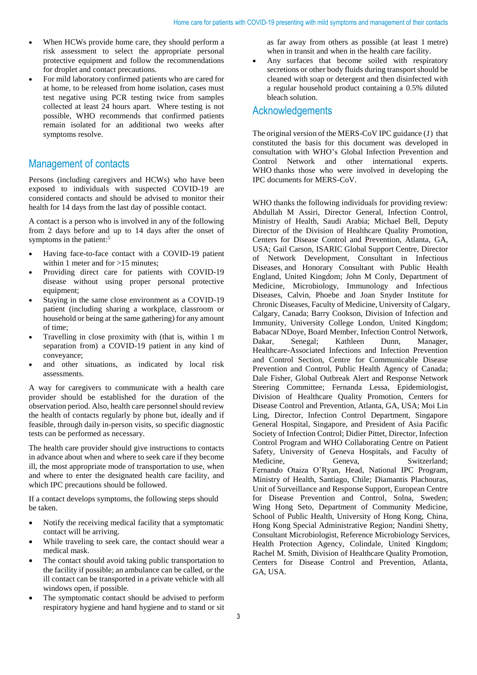- When HCWs provide home care, they should perform a risk assessment to select the appropriate personal protective equipment and follow the recommendations for droplet and contact precautions.
- For mild laboratory confirmed patients who are cared for at home, to be released from home isolation, cases must test negative using PCR testing twice from samples collected at least 24 hours apart. Where testing is not possible, WHO recommends that confirmed patients remain isolated for an additional two weeks after symptoms resolve.

## Management of contacts

Persons (including caregivers and HCWs) who have been exposed to individuals with suspected COVID-19 are considered contacts and should be advised to monitor their health for 14 days from the last day of possible contact.

A contact is a person who is involved in any of the following from 2 days before and up to 14 days after the onset of symptoms in the patient:<sup>5</sup>

- Having face-to-face contact with a COVID-19 patient within 1 meter and for >15 minutes;
- Providing direct care for patients with COVID-19 disease without using proper personal protective equipment;
- Staying in the same close environment as a COVID-19 patient (including sharing a workplace, classroom or household or being at the same gathering) for any amount of time;
- Travelling in close proximity with (that is, within 1 m separation from) a COVID-19 patient in any kind of conveyance;
- and other situations, as indicated by local risk assessments.

A way for caregivers to communicate with a health care provider should be established for the duration of the observation period. Also, health care personnel should review the health of contacts regularly by phone but, ideally and if feasible, through daily in-person visits, so specific diagnostic tests can be performed as necessary.

The health care provider should give instructions to contacts in advance about when and where to seek care if they become ill, the most appropriate mode of transportation to use, when and where to enter the designated health care facility, and which IPC precautions should be followed.

If a contact develops symptoms, the following steps should be taken.

- Notify the receiving medical facility that a symptomatic contact will be arriving.
- While traveling to seek care, the contact should wear a medical mask.
- The contact should avoid taking public transportation to the facility if possible; an ambulance can be called, or the ill contact can be transported in a private vehicle with all windows open, if possible.
- The symptomatic contact should be advised to perform respiratory hygiene and hand hygiene and to stand or sit

as far away from others as possible (at least 1 metre) when in transit and when in the health care facility.

Any surfaces that become soiled with respiratory secretions or other body fluids during transport should be cleaned with soap or detergent and then disinfected with a regular household product containing a 0.5% diluted bleach solution.

### Acknowledgements

The original version of the MERS-CoV IPC guidance (*1*) that constituted the basis for this document was developed in consultation with WHO's Global Infection Prevention and Control Network and other international experts. WHO thanks those who were involved in developing the IPC documents for MERS-CoV.

WHO thanks the following individuals for providing review: Abdullah M Assiri, Director General, Infection Control, Ministry of Health, Saudi Arabia; Michael Bell, Deputy Director of the Division of Healthcare Quality Promotion, Centers for Disease Control and Prevention, Atlanta, GA, USA; Gail Carson, ISARIC Global Support Centre, Director of Network Development, Consultant in Infectious Diseases, and Honorary Consultant with Public Health England, United Kingdom; John M Conly, Department of Medicine, Microbiology, Immunology and Infectious Diseases, Calvin, Phoebe and Joan Snyder Institute for Chronic Diseases, Faculty of Medicine, University of Calgary, Calgary, Canada; Barry Cookson, Division of Infection and Immunity, University College London, United Kingdom; Babacar NDoye, Board Member, Infection Control Network, Dakar, Senegal; Kathleen Dunn, Manager, Healthcare-Associated Infections and Infection Prevention and Control Section, Centre for Communicable Disease Prevention and Control, Public Health Agency of Canada; Dale Fisher, Global Outbreak Alert and Response Network Steering Committee; Fernanda Lessa, Epidemiologist, Division of Healthcare Quality Promotion, Centers for Disease Control and Prevention, Atlanta, GA, USA; Moi Lin Ling, Director, Infection Control Department, Singapore General Hospital, Singapore, and President of Asia Pacific Society of Infection Control; Didier Pittet, Director, Infection Control Program and WHO Collaborating Centre on Patient Safety, University of Geneva Hospitals, and Faculty of Medicine, Geneva, Switzerland; Fernando Otaiza O'Ryan, Head, National IPC Program, Ministry of Health, Santiago, Chile; Diamantis Plachouras*,* Unit of Surveillance and Response Support, European Centre for Disease Prevention and Control, Solna, Sweden; Wing Hong Seto, Department of Community Medicine, School of Public Health, University of Hong Kong, China, Hong Kong Special Administrative Region; Nandini Shetty, Consultant Microbiologist, Reference Microbiology Services, Health Protection Agency, Colindale, United Kingdom; Rachel M. Smith, Division of Healthcare Quality Promotion, Centers for Disease Control and Prevention, Atlanta, GA, USA.